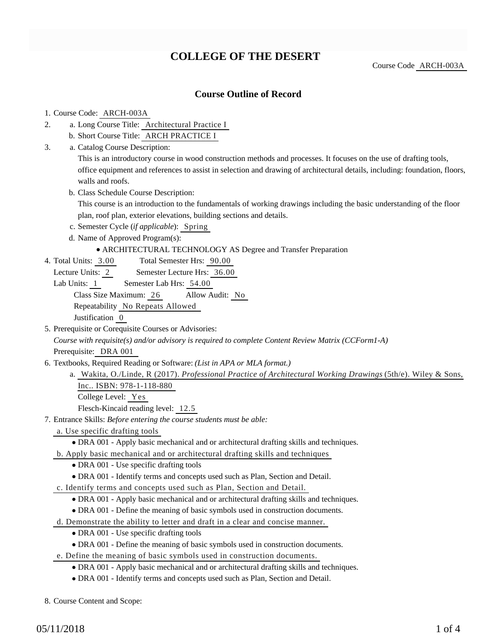# **COLLEGE OF THE DESERT**

Course Code ARCH-003A

### **Course Outline of Record**

#### 1. Course Code: ARCH-003A

- a. Long Course Title: Architectural Practice I 2.
	- b. Short Course Title: ARCH PRACTICE I
- Catalog Course Description: a. 3.

This is an introductory course in wood construction methods and processes. It focuses on the use of drafting tools, office equipment and references to assist in selection and drawing of architectural details, including: foundation, floors, walls and roofs.

b. Class Schedule Course Description:

This course is an introduction to the fundamentals of working drawings including the basic understanding of the floor plan, roof plan, exterior elevations, building sections and details.

- c. Semester Cycle (*if applicable*): Spring
- d. Name of Approved Program(s):

#### ARCHITECTURAL TECHNOLOGY AS Degree and Transfer Preparation

- Total Semester Hrs: 90.00 4. Total Units: 3.00
	- Lecture Units: 2 Semester Lecture Hrs: 36.00
	- Lab Units: 1 Semester Lab Hrs: 54.00

Class Size Maximum: 26 Allow Audit: No

Repeatability No Repeats Allowed

Justification 0

5. Prerequisite or Corequisite Courses or Advisories:

*Course with requisite(s) and/or advisory is required to complete Content Review Matrix (CCForm1-A)* Prerequisite: DRA 001

- 6. Textbooks, Required Reading or Software: (List in APA or MLA format.)
	- Wakita, O./Linde, R (2017). *Professional Practice of Architectural Working Drawings* (5th/e). Wiley & Sons, a. Inc.. ISBN: 978-1-118-880 College Level: Yes

Flesch-Kincaid reading level: 12.5

- Entrance Skills: *Before entering the course students must be able:* 7.
	- a. Use specific drafting tools
		- DRA 001 Apply basic mechanical and or architectural drafting skills and techniques.
	- b. Apply basic mechanical and or architectural drafting skills and techniques
		- DRA 001 Use specific drafting tools
		- DRA 001 Identify terms and concepts used such as Plan, Section and Detail.
	- c. Identify terms and concepts used such as Plan, Section and Detail.
		- DRA 001 Apply basic mechanical and or architectural drafting skills and techniques.
		- DRA 001 Define the meaning of basic symbols used in construction documents.
	- d. Demonstrate the ability to letter and draft in a clear and concise manner.
		- DRA 001 Use specific drafting tools
		- DRA 001 Define the meaning of basic symbols used in construction documents.
	- e. Define the meaning of basic symbols used in construction documents.
		- DRA 001 Apply basic mechanical and or architectural drafting skills and techniques.
		- DRA 001 Identify terms and concepts used such as Plan, Section and Detail.

8. Course Content and Scope: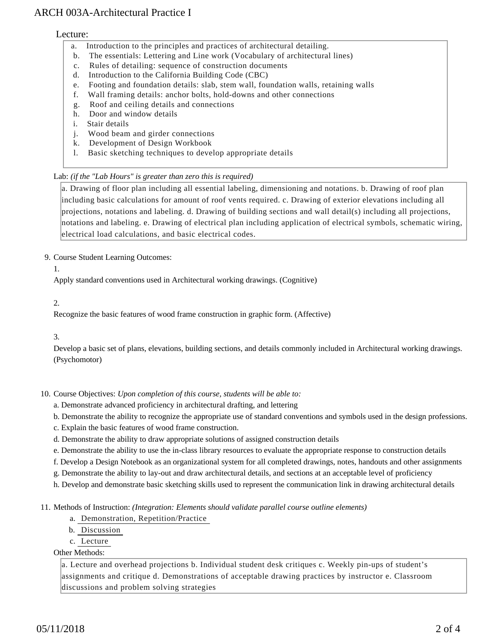## ARCH 003A-Architectural Practice I

#### Lecture:

- a. Introduction to the principles and practices of architectural detailing.
- b. The essentials: Lettering and Line work (Vocabulary of architectural lines)
- c. Rules of detailing: sequence of construction documents
- d. Introduction to the California Building Code (CBC)
- e. Footing and foundation details: slab, stem wall, foundation walls, retaining walls
- f. Wall framing details: anchor bolts, hold-downs and other connections
- g. Roof and ceiling details and connections
- h. Door and window details
- i. Stair details
- j. Wood beam and girder connections
- k. Development of Design Workbook
- l. Basic sketching techniques to develop appropriate details

#### Lab: *(if the "Lab Hours" is greater than zero this is required)*

a. Drawing of floor plan including all essential labeling, dimensioning and notations. b. Drawing of roof plan including basic calculations for amount of roof vents required. c. Drawing of exterior elevations including all projections, notations and labeling. d. Drawing of building sections and wall detail(s) including all projections, notations and labeling. e. Drawing of electrical plan including application of electrical symbols, schematic wiring, electrical load calculations, and basic electrical codes.

#### 9. Course Student Learning Outcomes:

1.

Apply standard conventions used in Architectural working drawings. (Cognitive)

2.

Recognize the basic features of wood frame construction in graphic form. (Affective)

#### 3.

Develop a basic set of plans, elevations, building sections, and details commonly included in Architectural working drawings. (Psychomotor)

10. Course Objectives: Upon completion of this course, students will be able to:

a. Demonstrate advanced proficiency in architectural drafting, and lettering

- b. Demonstrate the ability to recognize the appropriate use of standard conventions and symbols used in the design professions.
- c. Explain the basic features of wood frame construction.
- d. Demonstrate the ability to draw appropriate solutions of assigned construction details

e. Demonstrate the ability to use the in-class library resources to evaluate the appropriate response to construction details

f. Develop a Design Notebook as an organizational system for all completed drawings, notes, handouts and other assignments

g. Demonstrate the ability to lay-out and draw architectural details, and sections at an acceptable level of proficiency

h. Develop and demonstrate basic sketching skills used to represent the communication link in drawing architectural details

11. Methods of Instruction: *(Integration: Elements should validate parallel course outline elements)* 

- a. Demonstration, Repetition/Practice
- b. Discussion
- c. Lecture

#### Other Methods:

a. Lecture and overhead projections b. Individual student desk critiques c. Weekly pin-ups of student's assignments and critique d. Demonstrations of acceptable drawing practices by instructor e. Classroom discussions and problem solving strategies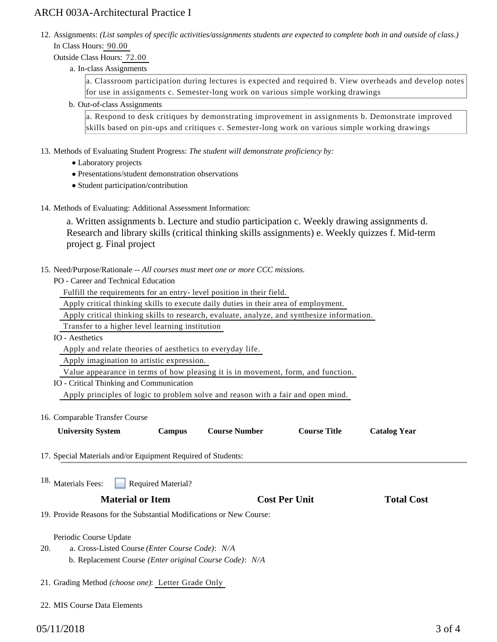## ARCH 003A-Architectural Practice I

12. Assignments: (List samples of specific activities/assignments students are expected to complete both in and outside of class.) In Class Hours: 90.00

Outside Class Hours: 72.00

a. In-class Assignments

a. Classroom participation during lectures is expected and required b. View overheads and develop notes for use in assignments c. Semester-long work on various simple working drawings

b. Out-of-class Assignments

a. Respond to desk critiques by demonstrating improvement in assignments b. Demonstrate improved skills based on pin-ups and critiques c. Semester-long work on various simple working drawings

- 13. Methods of Evaluating Student Progress: The student will demonstrate proficiency by:
	- Laboratory projects
	- Presentations/student demonstration observations
	- Student participation/contribution
- 14. Methods of Evaluating: Additional Assessment Information:

a. Written assignments b. Lecture and studio participation c. Weekly drawing assignments d. Research and library skills (critical thinking skills assignments) e. Weekly quizzes f. Mid-term project g. Final project

15. Need/Purpose/Rationale -- All courses must meet one or more CCC missions.

PO - Career and Technical Education

Fulfill the requirements for an entry- level position in their field.

Apply critical thinking skills to execute daily duties in their area of employment.

- Apply critical thinking skills to research, evaluate, analyze, and synthesize information.
- Transfer to a higher level learning institution
- IO Aesthetics

Apply and relate theories of aesthetics to everyday life.

Apply imagination to artistic expression.

Value appearance in terms of how pleasing it is in movement, form, and function.

IO - Critical Thinking and Communication

Apply principles of logic to problem solve and reason with a fair and open mind.

16. Comparable Transfer Course

| <b>University System</b> | Campus | <b>Course Number</b> | <b>Course Title</b> | <b>Catalog Year</b> |
|--------------------------|--------|----------------------|---------------------|---------------------|
|--------------------------|--------|----------------------|---------------------|---------------------|

17. Special Materials and/or Equipment Required of Students:

Required Material? <sup>18.</sup> Materials Fees:

# **Material or Item Cost Per Unit Total Cost Per Unit Total Cost Per Unit Total Cost Per Unit Cost Per Unit Total Cost Per Unit Cost Per Unit Cost Per Unit Cost Per Unit Cost Per Unit Cost Per Unit Cost Per Unit Cost Per Uni**

19. Provide Reasons for the Substantial Modifications or New Course:

Periodic Course Update

- a. Cross-Listed Course *(Enter Course Code)*: *N/A* b. Replacement Course *(Enter original Course Code)*: *N/A* 20.
- 21. Grading Method *(choose one)*: Letter Grade Only
- 22. MIS Course Data Elements